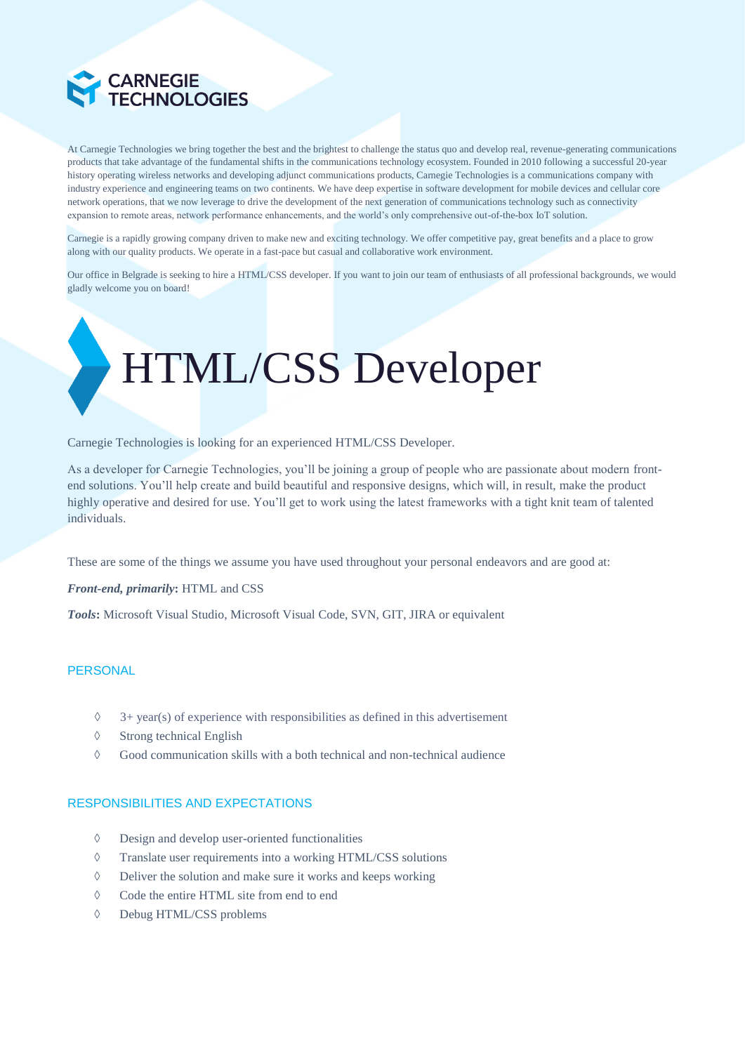

At Carnegie Technologies we bring together the best and the brightest to challenge the status quo and develop real, revenue-generating communications products that take advantage of the fundamental shifts in the communications technology ecosystem. Founded in 2010 following a successful 20-year history operating wireless networks and developing adjunct communications products, Carnegie Technologies is a communications company with industry experience and engineering teams on two continents. We have deep expertise in software development for mobile devices and cellular core network operations, that we now leverage to drive the development of the next generation of communications technology such as connectivity expansion to remote areas, network performance enhancements, and the world's only comprehensive out-of-the-box IoT solution.

Carnegie is a rapidly growing company driven to make new and exciting technology. We offer competitive pay, great benefits and a place to grow along with our quality products. We operate in a fast-pace but casual and collaborative work environment.

Our office in Belgrade is seeking to hire a HTML/CSS developer. If you want to join our team of enthusiasts of all professional backgrounds, we would gladly welcome you on board!

# HTML/CSS Developer

Carnegie Technologies is looking for an experienced HTML/CSS Developer.

As a developer for Carnegie Technologies, you'll be joining a group of people who are passionate about modern frontend solutions. You'll help create and build beautiful and responsive designs, which will, in result, make the product highly operative and desired for use. You'll get to work using the latest frameworks with a tight knit team of talented individuals.

These are some of the things we assume you have used throughout your personal endeavors and are good at:

*Front-end, primarily***:** HTML and CSS

*Tools***:** Microsoft Visual Studio, Microsoft Visual Code, SVN, GIT, JIRA or equivalent

## **PERSONAL**

- $\Diamond$  3+ year(s) of experience with responsibilities as defined in this advertisement
- $\Diamond$  Strong technical English
- $\Diamond$  Good communication skills with a both technical and non-technical audience

#### RESPONSIBILITIES AND EXPECTATIONS

- Design and develop user-oriented functionalities
- Translate user requirements into a working HTML/CSS solutions
- $\Diamond$  Deliver the solution and make sure it works and keeps working
- Code the entire HTML site from end to end
- Debug HTML/CSS problems